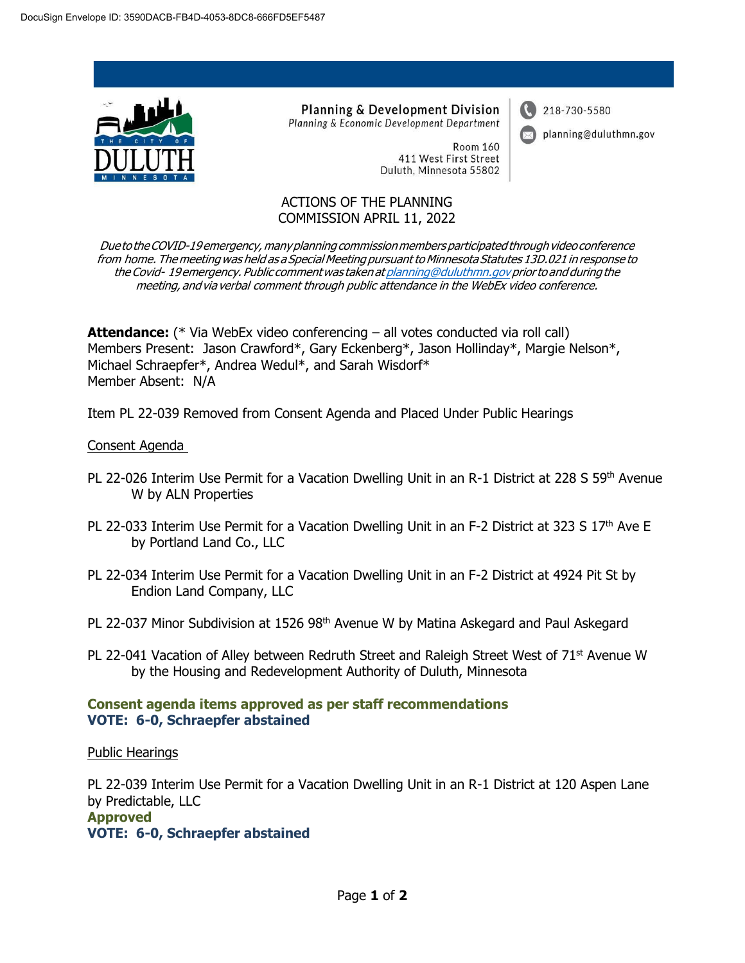

**Planning & Development Division** Planning & Economic Development Department

> **Room 160** 411 West First Street Duluth, Minnesota 55802

# 218-730-5580

planning@duluthmn.gov

ACTIONS OF THE PLANNING COMMISSION APRIL 11, 2022

Due to the COVID-19 emergency, many planning commission members participated through video conference from home. The meeting was held as a Special Meeting pursuant to Minnesota Statutes 13D.021 in response to the Covid- 19emergency. Public commentwas takenat [planning@duluthmn.govp](mailto:planning@duluthmn.gov)riorto and during the meeting, andvia verbal comment through public attendance in the WebEx video conference.

**Attendance:** (\* Via WebEx video conferencing – all votes conducted via roll call) Members Present: Jason Crawford\*, Gary Eckenberg\*, Jason Hollinday\*, Margie Nelson\*, Michael Schraepfer\*, Andrea Wedul\*, and Sarah Wisdorf\* Member Absent: N/A

Item PL 22-039 Removed from Consent Agenda and Placed Under Public Hearings

#### Consent Agenda

- PL 22-026 Interim Use Permit for a Vacation Dwelling Unit in an R-1 District at 228 S 59<sup>th</sup> Avenue W by ALN Properties
- PL 22-033 Interim Use Permit for a Vacation Dwelling Unit in an F-2 District at 323 S 17<sup>th</sup> Ave E by Portland Land Co., LLC
- PL 22-034 Interim Use Permit for a Vacation Dwelling Unit in an F-2 District at 4924 Pit St by Endion Land Company, LLC
- PL 22-037 Minor Subdivision at 1526 98<sup>th</sup> Avenue W by Matina Askegard and Paul Askegard
- PL 22-041 Vacation of Alley between Redruth Street and Raleigh Street West of 71<sup>st</sup> Avenue W by the Housing and Redevelopment Authority of Duluth, Minnesota

#### **Consent agenda items approved as per staff recommendations VOTE: 6-0, Schraepfer abstained**

Public Hearings

PL 22-039 Interim Use Permit for a Vacation Dwelling Unit in an R-1 District at 120 Aspen Lane by Predictable, LLC **Approved VOTE: 6-0, Schraepfer abstained**